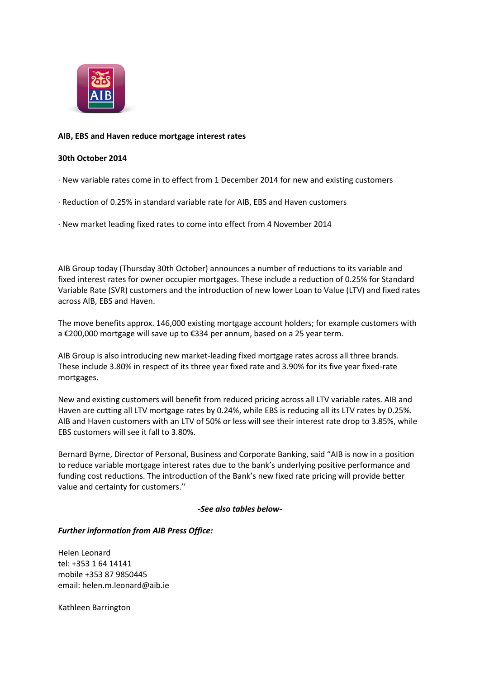

# **AIB, EBS and Haven reduce mortgage interest rates**

## **30th October 2014**

- · New variable rates come in to effect from 1 December 2014 for new and existing customers
- · Reduction of 0.25% in standard variable rate for AIB, EBS and Haven customers
- · New market leading fixed rates to come into effect from 4 November 2014

AIB Group today (Thursday 30th October) announces a number of reductions to its variable and fixed interest rates for owner occupier mortgages. These include a reduction of 0.25% for Standard Variable Rate (SVR) customers and the introduction of new lower Loan to Value (LTV) and fixed rates across AIB, EBS and Haven.

The move benefits approx. 146,000 existing mortgage account holders; for example customers with a €200,000 mortgage will save up to €334 per annum, based on a 25 year term.

AIB Group is also introducing new market-leading fixed mortgage rates across all three brands. These include 3.80% in respect of its three year fixed rate and 3.90% for its five year fixed-rate mortgages.

New and existing customers will benefit from reduced pricing across all LTV variable rates. AIB and Haven are cutting all LTV mortgage rates by 0.24%, while EBS is reducing all its LTV rates by 0.25%. AIB and Haven customers with an LTV of 50% or less will see their interest rate drop to 3.85%, while EBS customers will see it fall to 3.80%.

Bernard Byrne, Director of Personal, Business and Corporate Banking, said "AIB is now in a position to reduce variable mortgage interest rates due to the bank's underlying positive performance and funding cost reductions. The introduction of the Bank's new fixed rate pricing will provide better value and certainty for customers.''

#### *-See also tables below-*

## *Further information from AIB Press Office:*

Helen Leonard tel: +353 1 64 14141 mobile +353 87 9850445 email: helen.m.leonard@aib.ie

Kathleen Barrington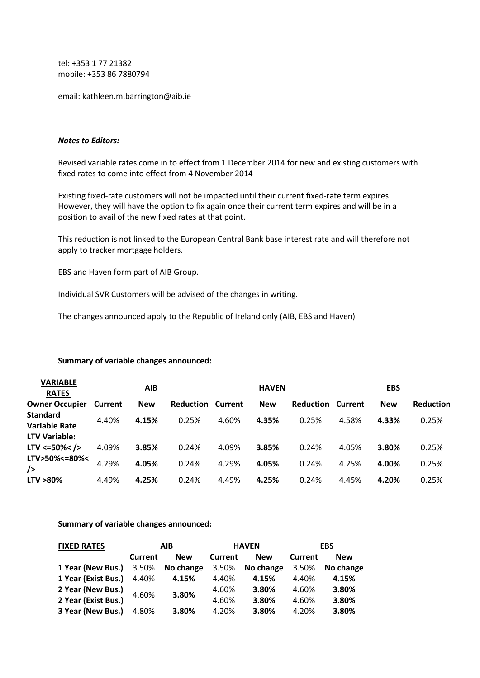tel: +353 1 77 21382 mobile: +353 86 7880794

email: kathleen.m.barrington@aib.ie

#### *Notes to Editors:*

Revised variable rates come in to effect from 1 December 2014 for new and existing customers with fixed rates to come into effect from 4 November 2014

Existing fixed-rate customers will not be impacted until their current fixed-rate term expires. However, they will have the option to fix again once their current term expires and will be in a position to avail of the new fixed rates at that point.

This reduction is not linked to the European Central Bank base interest rate and will therefore not apply to tracker mortgage holders.

EBS and Haven form part of AIB Group.

Individual SVR Customers will be advised of the changes in writing.

The changes announced apply to the Republic of Ireland only (AIB, EBS and Haven)

#### **Summary of variable changes announced:**

| <b>VARIABLE</b><br><b>RATES</b>         |         | AIB        |           |                | <b>HAVEN</b> |                          |       | <b>EBS</b> |                  |
|-----------------------------------------|---------|------------|-----------|----------------|--------------|--------------------------|-------|------------|------------------|
| <b>Owner Occupier</b>                   | Current | <b>New</b> | Reduction | <b>Current</b> | <b>New</b>   | <b>Reduction Current</b> |       | <b>New</b> | <b>Reduction</b> |
| <b>Standard</b><br><b>Variable Rate</b> | 4.40%   | 4.15%      | 0.25%     | 4.60%          | 4.35%        | 0.25%                    | 4.58% | 4.33%      | 0.25%            |
| <b>LTV Variable:</b>                    |         |            |           |                |              |                          |       |            |                  |
| $LTV \le 50\% < /$                      | 4.09%   | 3.85%      | 0.24%     | 4.09%          | 3.85%        | 0.24%                    | 4.05% | 3.80%      | 0.25%            |
| LTV>50%<=80%<<br>/                      | 4.29%   | 4.05%      | 0.24%     | 4.29%          | 4.05%        | 0.24%                    | 4.25% | 4.00%      | 0.25%            |
| LTV >80%                                | 4.49%   | 4.25%      | 0.24%     | 4.49%          | 4.25%        | 0.24%                    | 4.45% | 4.20%      | 0.25%            |

**Summary of variable changes announced:**

| <b>FIXED RATES</b>                | AIB     |            |         | <b>HAVEN</b> | <b>EBS</b> |            |
|-----------------------------------|---------|------------|---------|--------------|------------|------------|
|                                   | Current | <b>New</b> | Current | <b>New</b>   | Current    | <b>New</b> |
| 1 Year (New Bus.) 3.50% No change |         |            | 3.50%   | No change    | 3.50%      | No change  |
| 1 Year (Exist Bus.) 4.40%         |         | 4.15%      | 4.40%   | 4.15%        | 4.40%      | 4.15%      |
| 2 Year (New Bus.)                 | 4.60%   | 3.80%      | 4.60%   | 3.80%        | 4.60%      | 3.80%      |
| 2 Year (Exist Bus.)               |         |            | 4.60%   | 3.80%        | 4.60%      | 3.80%      |
| 3 Year (New Bus.)                 | 4.80%   | 3.80%      | 4.20%   | 3.80%        | 4.20%      | 3.80%      |